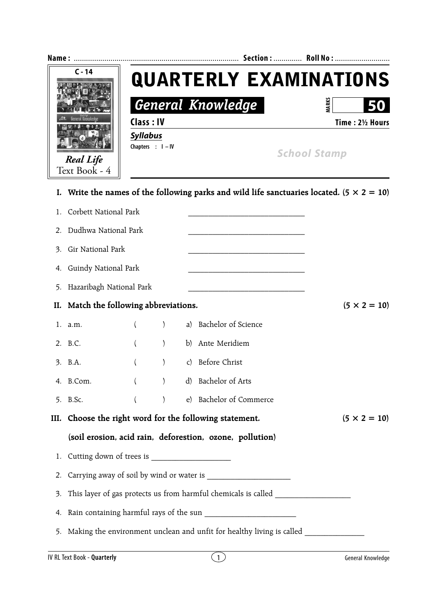| Name: |                                                                                               |                                                    |                  |  |                          |  |                  |                     |                     |  |
|-------|-----------------------------------------------------------------------------------------------|----------------------------------------------------|------------------|--|--------------------------|--|------------------|---------------------|---------------------|--|
|       | $C - 14$                                                                                      | <b>QUARTERLY EXAMINATIONS</b>                      |                  |  |                          |  |                  |                     |                     |  |
|       |                                                                                               |                                                    |                  |  | <b>General Knowledge</b> |  |                  | <b>MARKS</b>        |                     |  |
|       |                                                                                               | Class: IV                                          |                  |  |                          |  | Time: 21/2 Hours |                     |                     |  |
|       | <b>Real Life</b><br>Text Book - 4                                                             | <b>Syllabus</b>                                    | Chapters : I-IV  |  |                          |  |                  | <b>School Stamp</b> |                     |  |
|       | Write the names of the following parks and wild life sanctuaries located. $(5 \times 2 = 10)$ |                                                    |                  |  |                          |  |                  |                     |                     |  |
| 1.    | Corbett National Park                                                                         |                                                    |                  |  |                          |  |                  |                     |                     |  |
| 2.    | Dudhwa National Park                                                                          |                                                    |                  |  |                          |  |                  |                     |                     |  |
| 3.    | Gir National Park                                                                             |                                                    |                  |  |                          |  |                  |                     |                     |  |
| 4.    | Guindy National Park                                                                          |                                                    |                  |  |                          |  |                  |                     |                     |  |
| 5.    | Hazaribagh National Park                                                                      |                                                    |                  |  |                          |  |                  |                     |                     |  |
| II.   | Match the following abbreviations.                                                            |                                                    |                  |  |                          |  |                  |                     | $(5 \times 2 = 10)$ |  |
|       | 1. a.m.                                                                                       | $\left($                                           | $\lambda$        |  | a) Bachelor of Science   |  |                  |                     |                     |  |
|       | 2. B.C.                                                                                       | $\left($                                           | $\mathcal{E}$    |  | b) Ante Meridiem         |  |                  |                     |                     |  |
|       | 3. B.A.                                                                                       | $\left($                                           | $\mathcal{E}$    |  | c) Before Christ         |  |                  |                     |                     |  |
|       | 4. B.Com.                                                                                     | $\left($                                           | $\left( \right)$ |  | d) Bachelor of Arts      |  |                  |                     |                     |  |
| 5.    | B.Sc.                                                                                         | $\left($                                           | $\left( \right)$ |  | e) Bachelor of Commerce  |  |                  |                     |                     |  |
| III.  |                                                                                               | Choose the right word for the following statement. |                  |  |                          |  |                  |                     | $(5 \times 2 = 10)$ |  |
|       | (soil erosion, acid rain, deforestion, ozone, pollution)                                      |                                                    |                  |  |                          |  |                  |                     |                     |  |
| 1.    |                                                                                               |                                                    |                  |  |                          |  |                  |                     |                     |  |
| 2.    |                                                                                               |                                                    |                  |  |                          |  |                  |                     |                     |  |
| 3.    | This layer of gas protects us from harmful chemicals is called __________________             |                                                    |                  |  |                          |  |                  |                     |                     |  |
| 4.    |                                                                                               |                                                    |                  |  |                          |  |                  |                     |                     |  |
| 5.    | Making the environment unclean and unfit for healthy living is called ___________             |                                                    |                  |  |                          |  |                  |                     |                     |  |
|       | IV RL Text Book - Quarterly                                                                   |                                                    |                  |  | $\left(1\right)$         |  |                  |                     | General Knowledge   |  |